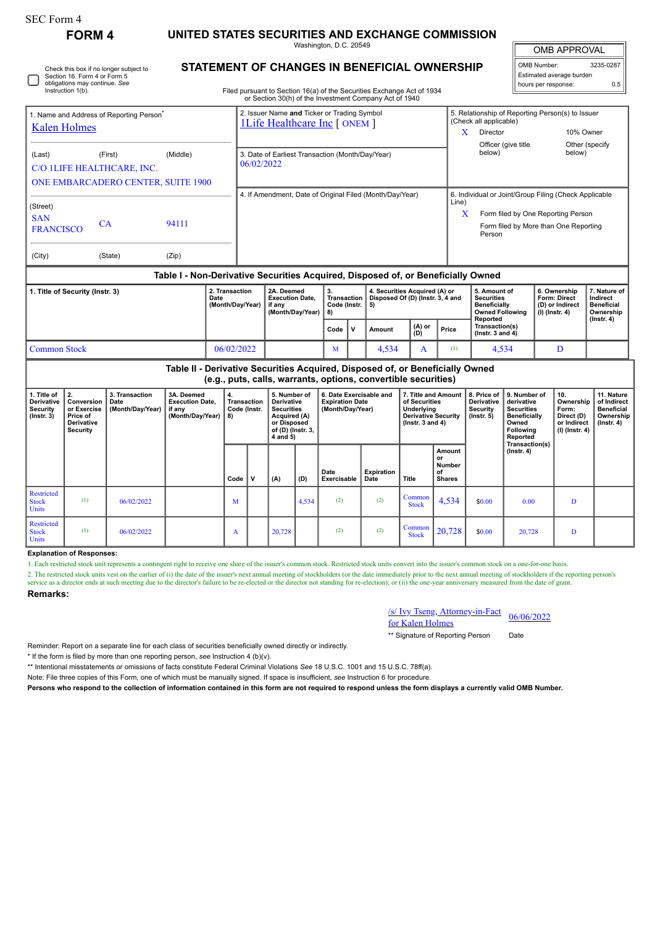∩

Check this box if no longer subject to Section 16. Form 4 or Form 5 obligations may continue. *See* Instruction 1(b).

# **FORM 4 UNITED STATES SECURITIES AND EXCHANGE COMMISSION**

Washington, D.C. 20549 **STATEMENT OF CHANGES IN BENEFICIAL OWNERSHIP**

OMB APPROVAL

| OMB Number:<br>3235-0287 |     |  |  |  |  |
|--------------------------|-----|--|--|--|--|
| Estimated average burden |     |  |  |  |  |
| hours per response:      | 0.5 |  |  |  |  |

| Filed pursuant to Section 16(a) of the Securities Exchange Act of 1934<br>or Section 30(h) of the Investment Company Act of 1940 |
|----------------------------------------------------------------------------------------------------------------------------------|
|----------------------------------------------------------------------------------------------------------------------------------|

| 0. Occupii oolii oi tiig ilivootiiloilt Ooliipaliy Alot ol Tono      |         |          |                                                                                     |                                                                            |                                                 |                |  |  |  |
|----------------------------------------------------------------------|---------|----------|-------------------------------------------------------------------------------------|----------------------------------------------------------------------------|-------------------------------------------------|----------------|--|--|--|
| 1. Name and Address of Reporting Person <sup>®</sup><br>Kalen Holmes |         |          | 2. Issuer Name and Ticker or Trading Symbol<br><b>1Life Healthcare Inc [ ONEM ]</b> | 5. Relationship of Reporting Person(s) to Issuer<br>(Check all applicable) |                                                 |                |  |  |  |
|                                                                      |         |          |                                                                                     | x                                                                          | Director                                        | 10% Owner      |  |  |  |
|                                                                      |         |          |                                                                                     |                                                                            | Officer (give title                             | Other (specify |  |  |  |
| (Last)                                                               | (First) | (Middle) | 3. Date of Earliest Transaction (Month/Day/Year)                                    |                                                                            | below)                                          | below)         |  |  |  |
| C/O 1LIFE HEALTHCARE, INC.                                           |         |          | 06/02/2022                                                                          |                                                                            |                                                 |                |  |  |  |
| ONE EMBARCADERO CENTER, SUITE 1900                                   |         |          |                                                                                     |                                                                            |                                                 |                |  |  |  |
| (Street)                                                             |         |          | 4. If Amendment, Date of Original Filed (Month/Day/Year)                            | 6. Individual or Joint/Group Filing (Check Applicable<br>Line)             |                                                 |                |  |  |  |
| <b>SAN</b>                                                           |         |          |                                                                                     | X                                                                          | Form filed by One Reporting Person              |                |  |  |  |
| <b>FRANCISCO</b>                                                     | CA      | 94111    |                                                                                     |                                                                            | Form filed by More than One Reporting<br>Person |                |  |  |  |
| (City)                                                               | (State) | (Zip)    |                                                                                     |                                                                            |                                                 |                |  |  |  |

### **Table I - Non-Derivative Securities Acquired, Disposed of, or Beneficially Owned**

| 1. Title of Security (Instr. 3) | 2. Transaction<br>Date<br>(Month/Dav/Year) | 2A. Deemed<br><b>Execution Date.</b><br>if anv<br>(Month/Dav/Year) | Code (Instr.   5)<br>18) |    | 4. Securities Acquired (A) or<br>Transaction   Disposed Of (D) (Instr. 3, 4 and |                                                   | 5. Amount of<br><b>Securities</b><br><b>Beneficially</b><br><b>Owned Following</b><br>Reported | l 6. Ownership<br>Form: Direct<br>(D) or Indirect<br>(I) (Instr. 4) | 7. Nature of<br>Indirect<br>Beneficial<br>Ownership |            |
|---------------------------------|--------------------------------------------|--------------------------------------------------------------------|--------------------------|----|---------------------------------------------------------------------------------|---------------------------------------------------|------------------------------------------------------------------------------------------------|---------------------------------------------------------------------|-----------------------------------------------------|------------|
|                                 |                                            |                                                                    | Code                     | ΙV | Amount                                                                          | $\begin{pmatrix} (A) & or \\ (D) & \end{pmatrix}$ | Price                                                                                          | Transaction(s)<br>$($ lnstr. 3 and 4 $)$                            |                                                     | (Instr. 4) |
| Common Stock                    | 06/02/2022                                 |                                                                    | M                        |    | 4.534                                                                           |                                                   | T                                                                                              | 4.534                                                               | D                                                   |            |

#### **Table II - Derivative Securities Acquired, Disposed of, or Beneficially Owned (e.g., puts, calls, warrants, options, convertible securities) 1. Title of Derivative Security (Instr. 3) 2. Conversion or Exercise Price of Derivative Security 3. Transaction Date (Month/Day/Year) 3A. Deemed Execution Date, if any (Month/Day/Year) 4. Transaction Code (Instr. 8) 5. Number of Derivative Securities Acquired (A) or Disposed of (D) (Instr. 3, 4 and 5) 6. Date Exercisable and Expiration Date (Month/Day/Year) 7. Title and Amount of Securities Underlying Derivative Security (Instr. 3 and 4) 8. Price of Derivative Security (Instr. 5) 9. Number of derivative Securities Beneficially Owned Following Reported Transaction(s) (Instr. 4) 10. Ownership Form: Direct (D) or Indirect (I) (Instr. 4) 11. Nature of Indirect Beneficial Ownership (Instr. 4)**  $Code \n\begin{bmatrix} \nV & \n\end{bmatrix} (A) \n\begin{bmatrix} \nD \n\end{bmatrix}$ **Date Exercisable Expiration Date Title Amount or Number of Shares** Restricted Stock Units (1)  $0.6/02/2022$  M 4,534 (2) (2) Common  $\begin{array}{|c|c|c|c|c|c|c|c|} \hline \text{ommon} & 4,534 & \text{$\$0.00} & 0.00 & \text{D} \end{array}$ **Restricted** Stock Units (1)  $0.6/02/2022$  A  $20,728$  (2)  $\circ$  Common Common Stock 20,728 \$0.00 20,728 <sup>D</sup>

### **Explanation of Responses:**

1. Each restricted stock unit represents a contingent right to receive one share of the issuer's common stock. Restricted stock units convert into the issuer's common stock on a one-for-one basis.

2. The restricted stock units vest on the earlier of (i) the date of the issuer's next annual meeting of stockholders (or the date immediately prior to the next annual meeting of stockholders if the reporting person's service as a director ends at such meeting due to the director's failure to be re-elected or the director not standing for re-election); or (ii) the one-year anniversary measured from the date of grant

## **Remarks:**

/s/ Ivy Tseng, Attorney-in-Fact  $\frac{f(S)}{f(S)}$  Ivy Iseng, Attorney-in-Fact 06/06/2022

\*\* Signature of Reporting Person Date

Reminder: Report on a separate line for each class of securities beneficially owned directly or indirectly.

\* If the form is filed by more than one reporting person, *see* Instruction 4 (b)(v).

\*\* Intentional misstatements or omissions of facts constitute Federal Criminal Violations *See* 18 U.S.C. 1001 and 15 U.S.C. 78ff(a).

Note: File three copies of this Form, one of which must be manually signed. If space is insufficient, *see* Instruction 6 for procedure.

**Persons who respond to the collection of information contained in this form are not required to respond unless the form displays a currently valid OMB Number.**